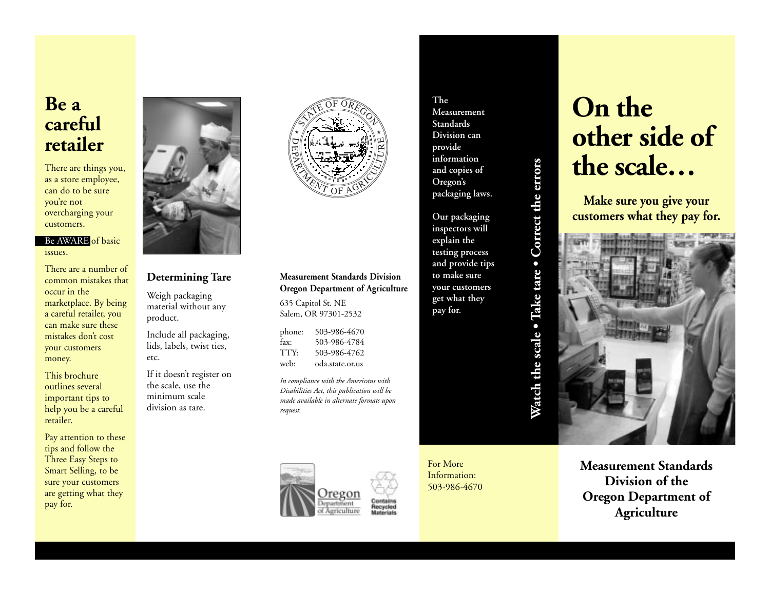# **Be a careful retailer**

There are things you, as a store employee, can do to be sure you're not overcharging your customers.

Be AWARE of basic issues.

There are a number of common mistakes that occur in the marketplace. By being a careful retailer, you can make sure these mistakes don't cost your customers money.

This brochure outlines several important tips to help you be a careful retailer.

Pay attention to these tips and follow the Three Easy Steps to Smart Selling, to be sure your customers are getting what they pay for.



### **Determining Tare**

Weigh packaging material without any product.

Include all packaging, lids, labels, twist ties, etc.

If it doesn't register on the scale, use the minimum scale division as tare.



### **Measurement Standards Division Oregon Department of Agriculture**

635 Capitol St. NE Salem, OR 97301-2532

phone: 503-986-4670 fax: 503-986-4784<br>TTY: 503-986-4762 503-986-4762 web: oda.state.or.us

*In compliance with the Americans with Disabilities Act, this publication will be made available in alternate formats upon request.*



For More Information: 503-986-4670

**The**

**Measurement Standards Division can provide information and copies of Oregon's packaging laws.**

**Our packaging inspectors will explain the testing process and provide tips to make sure your customers get what they pay for.**

# Watch the scale . Take tare . Correct the errors **Watch the scale • Take tare • Correct the errors**

## **On the other side of the scale…**

**Make sure you give your customers what they pay for.**



**Measurement Standards Division of the Oregon Department of Agriculture**